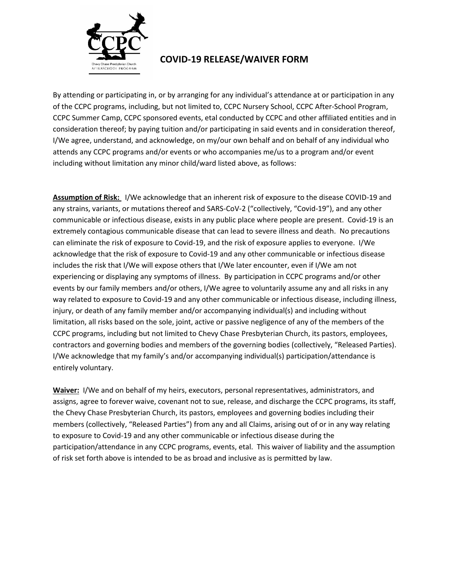

## **COVID-19 RELEASE/WAIVER FORM**

By attending or participating in, or by arranging for any individual's attendance at or participation in any of the CCPC programs, including, but not limited to, CCPC Nursery School, CCPC After-School Program, CCPC Summer Camp, CCPC sponsored events, etal conducted by CCPC and other affiliated entities and in consideration thereof; by paying tuition and/or participating in said events and in consideration thereof, I/We agree, understand, and acknowledge, on my/our own behalf and on behalf of any individual who attends any CCPC programs and/or events or who accompanies me/us to a program and/or event including without limitation any minor child/ward listed above, as follows:

**Assumption of Risk:** I/We acknowledge that an inherent risk of exposure to the disease COVID-19 and any strains, variants, or mutations thereof and SARS-CoV-2 ("collectively, "Covid-19"), and any other communicable or infectious disease, exists in any public place where people are present. Covid-19 is an extremely contagious communicable disease that can lead to severe illness and death. No precautions can eliminate the risk of exposure to Covid-19, and the risk of exposure applies to everyone. I/We acknowledge that the risk of exposure to Covid-19 and any other communicable or infectious disease includes the risk that I/We will expose others that I/We later encounter, even if I/We am not experiencing or displaying any symptoms of illness. By participation in CCPC programs and/or other events by our family members and/or others, I/We agree to voluntarily assume any and all risks in any way related to exposure to Covid-19 and any other communicable or infectious disease, including illness, injury, or death of any family member and/or accompanying individual(s) and including without limitation, all risks based on the sole, joint, active or passive negligence of any of the members of the CCPC programs, including but not limited to Chevy Chase Presbyterian Church, its pastors, employees, contractors and governing bodies and members of the governing bodies (collectively, "Released Parties). I/We acknowledge that my family's and/or accompanying individual(s) participation/attendance is entirely voluntary.

**Waiver:** I/We and on behalf of my heirs, executors, personal representatives, administrators, and assigns, agree to forever waive, covenant not to sue, release, and discharge the CCPC programs, its staff, the Chevy Chase Presbyterian Church, its pastors, employees and governing bodies including their members (collectively, "Released Parties") from any and all Claims, arising out of or in any way relating to exposure to Covid-19 and any other communicable or infectious disease during the participation/attendance in any CCPC programs, events, etal. This waiver of liability and the assumption of risk set forth above is intended to be as broad and inclusive as is permitted by law.